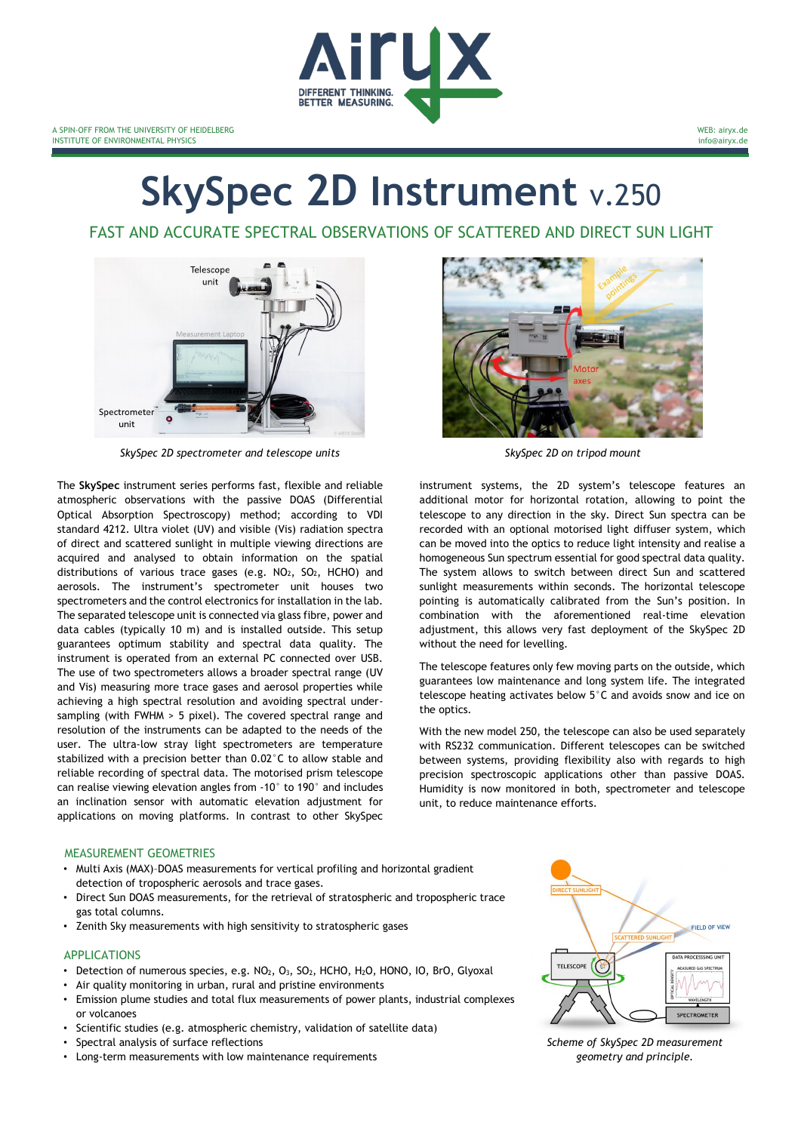

# **SkySpec 2D Instrument** v.250

FAST AND ACCURATE SPECTRAL OBSERVATIONS OF SCATTERED AND DIRECT SUN LIGHT



*SkySpec 2D spectrometer and telescope units SkySpec 2D on tripod mount*

The **SkySpec** instrument series performs fast, flexible and reliable atmospheric observations with the passive DOAS (Differential Optical Absorption Spectroscopy) method; according to VDI standard 4212. Ultra violet (UV) and visible (Vis) radiation spectra of direct and scattered sunlight in multiple viewing directions are acquired and analysed to obtain information on the spatial distributions of various trace gases (e.g.  $NO<sub>2</sub>$ ,  $SO<sub>2</sub>$ , HCHO) and aerosols. The instrument's spectrometer unit houses two spectrometers and the control electronics for installation in the lab. The separated telescope unit is connected via glass fibre, power and data cables (typically 10 m) and is installed outside. This setup guarantees optimum stability and spectral data quality. The instrument is operated from an external PC connected over USB. The use of two spectrometers allows a broader spectral range (UV and Vis) measuring more trace gases and aerosol properties while achieving a high spectral resolution and avoiding spectral undersampling (with FWHM > 5 pixel). The covered spectral range and resolution of the instruments can be adapted to the needs of the user. The ultra-low stray light spectrometers are temperature stabilized with a precision better than 0.02°C to allow stable and reliable recording of spectral data. The motorised prism telescope can realise viewing elevation angles from -10° to 190° and includes an inclination sensor with automatic elevation adjustment for applications on moving platforms. In contrast to other SkySpec



instrument systems, the 2D system's telescope features an additional motor for horizontal rotation, allowing to point the telescope to any direction in the sky. Direct Sun spectra can be recorded with an optional motorised light diffuser system, which can be moved into the optics to reduce light intensity and realise a homogeneous Sun spectrum essential for good spectral data quality. The system allows to switch between direct Sun and scattered sunlight measurements within seconds. The horizontal telescope pointing is automatically calibrated from the Sun's position. In combination with the aforementioned real-time elevation adjustment, this allows very fast deployment of the SkySpec 2D without the need for levelling.

The telescope features only few moving parts on the outside, which guarantees low maintenance and long system life. The integrated telescope heating activates below 5°C and avoids snow and ice on the optics.

With the new model 250, the telescope can also be used separately with RS232 communication. Different telescopes can be switched between systems, providing flexibility also with regards to high precision spectroscopic applications other than passive DOAS. Humidity is now monitored in both, spectrometer and telescope unit, to reduce maintenance efforts.

#### MEASUREMENT GEOMETRIES

- Multi Axis (MAX)–DOAS measurements for vertical profiling and horizontal gradient detection of tropospheric aerosols and trace gases.
- Direct Sun DOAS measurements, for the retrieval of stratospheric and tropospheric trace gas total columns.
- Zenith Sky measurements with high sensitivity to stratospheric gases

#### APPLICATIONS

- Detection of numerous species, e.g. NO<sub>2</sub>, O<sub>3</sub>, SO<sub>2</sub>, HCHO, H<sub>2</sub>O, HONO, IO, BrO, Glyoxal
- Air quality monitoring in urban, rural and pristine environments
- Emission plume studies and total flux measurements of power plants, industrial complexes or volcanoes
- Scientific studies (e.g. atmospheric chemistry, validation of satellite data)
- Spectral analysis of surface reflections
- Long-term measurements with low maintenance requirements



*Scheme of SkySpec 2D measurement geometry and principle.*